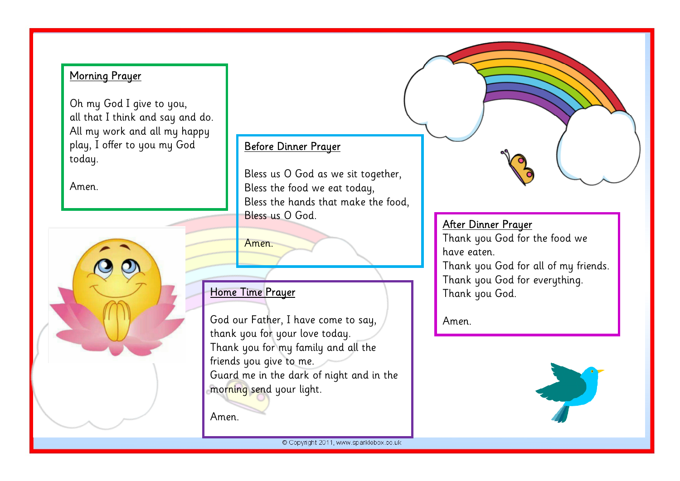### Morning Prayer

Oh my God I give to you, all that I think and say and do. All my work and all my happy play, I offer to you my God today.

Amen.



#### Before Dinner Prayer

 . Bless us O God as we sit together, Bless the food we eat today, Bless the hands that make the food, Bless us O God.

Amen.

## Home Time Prayer

i<br>I

God our Father, I have come to say, thank you for your love today. Thank you for my family and all the friends you give to me. Guard me in the dark of night and in the morning send your light.

Amen.

ı

### After Dinner Prayer

Thank you God for the food we have eaten.

Thank you God for all of my friends. Thank you God for everything. Thank you God.

Amen.

Ξ



© Copyright 2011, www.sparklebox.co.uk